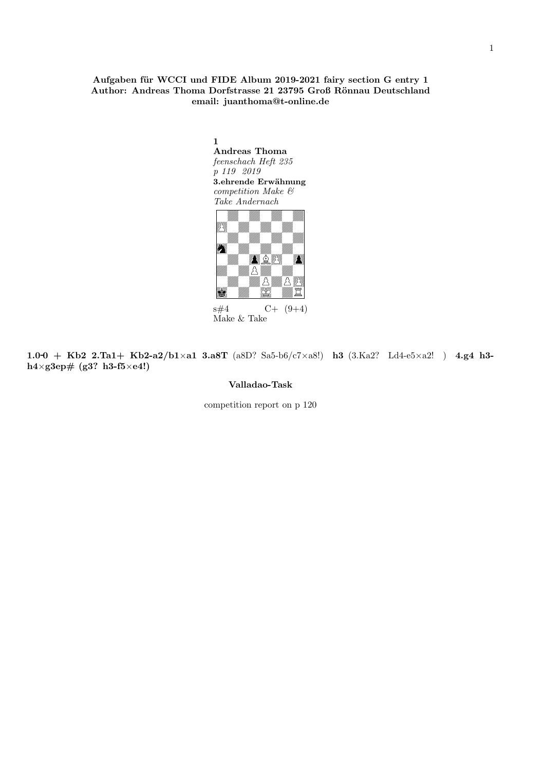## Aufgaben für WCCI und FIDE Album 2019-2021 fairy section G entry 1 Author: Andreas Thoma Dorfstrasse 21 23795 Groß Rönnau Deutschland email: juanthoma@t-online.de



 $s\#4$  C+  $(9+4)$ Make & Take

1.0-0 + Kb2 2.Ta1+ Kb2-a2/b1×a1 3.a8T (a8D? Sa5-b6/c7×a8!) h3 (3.Ka2? Ld4-e5×a2!) 4.g4 h3h4×g3ep# (g3? h3-f5×e4!)

#### Valladao-Task

competition report on p 120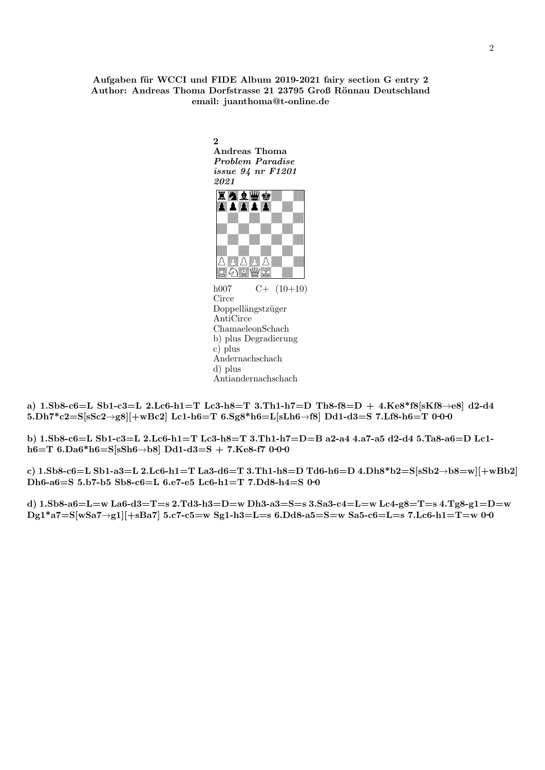## Aufgaben für WCCI und FIDE Album 2019-2021 fairy section G entry 2 Author: Andreas Thoma Dorfstrasse 21 23795 Groß Rönnau Deutschland email: juanthoma@t-online.de

2 Andreas Thoma Problem Paradise issue 94 nr F1201 2021



Circe Doppellängstzüger AntiCirce ChamaeleonSchach b) plus Degradierung c) plus Andernachschach d) plus Antiandernachschach

a)  $1.5b8-c6=L$   $Sb1-c3=L$   $2.Lc6-h1=T$   $Lc3-h8=T$   $3.Th1-h7=D$   $Th8-f8=D$   $+$   $4.Ke8*f8[sKf8\rightarrow e8]$   $d2-d4$ 5.Dh7\*c2=S[sSc2→g8][+wBc2] Lc1-h6=T 6.Sg8\*h6=L[sLh6→f8] Dd1-d3=S 7.Lf8-h6=T 0-0-0

b) 1.Sb8-c6=L Sb1-c3=L 2.Lc6-h1=T Lc3-h8=T 3.Th1-h7=D=B a2-a4 4.a7-a5 d2-d4 5.Ta8-a6=D Lc1 h6=T 6.Da6\*h6=S[sSh6→b8] Dd1-d3=S + 7.Ke8-f7 0-0-0

c) 1.Sb8-c6=L Sb1-a3=L 2.Lc6-h1=T La3-d6=T 3.Th1-h8=D Td6-h6=D 4.Dh8\*b2=S[sSb2→b8=w][+wBb2] Dh6-a6=S 5.b7-b5 Sb8-c6=L 6.e7-e5 Lc6-h1=T 7.Dd8-h4=S 0-0

d) 1.Sb8-a6=L=w La6-d3=T=s 2.Td3-h3=D=w Dh3-a3=S=s 3.Sa3-c4=L=w Lc4-g8=T=s 4.Tg8-g1=D=w  $Dg1*a7=S[wsa7\rightarrow g1][+sBa7]$  5.c7-c5=w Sg1-h3=L=s 6.Dd8-a5=S=w Sa5-c6=L=s 7.Lc6-h1=T=w 0-0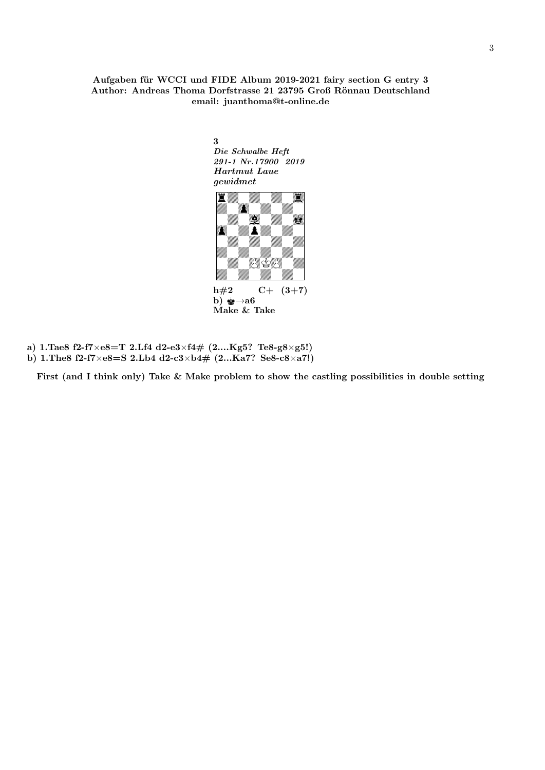## Aufgaben für WCCI und FIDE Album 2019-2021 fairy section G entry 3 Author: Andreas Thoma Dorfstrasse 21 23795 Groß Rönnau Deutschland email: juanthoma@t-online.de

3 Die Schwalbe Heft 291-1 Nr.17900 2019 Hartmut Laue gewidmet



Make & Take

a) 1.Tae8 f2-f7×e8=T 2.Lf4 d2-e3×f4# (2....Kg5? Te8-g8×g5!) b) 1.The8 f2-f7×e8=S 2.Lb4 d2-c3×b4# (2...Ka7? Se8-c8×a7!)

First (and I think only) Take & Make problem to show the castling possibilities in double setting